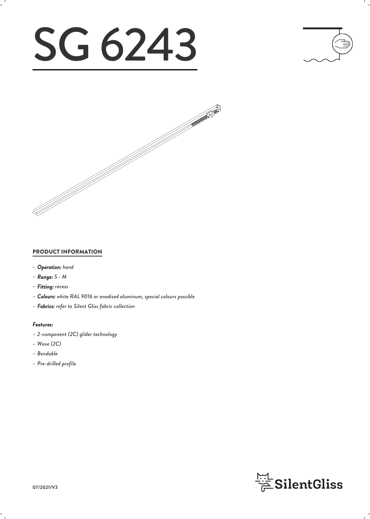# SG 6243





#### PRODUCT INFORMATION

- *– Operation: hand*
- *– Range: S M*
- *– Fitting: recess*
- *– Colours: white RAL 9016 or anodised aluminum, special colours possible*
- *– Fabrics: refer to Silent Gliss fabric collection*

#### *Features:*

- *– 2-component (2C) glider technology*
- *– Wave (2C)*
- *– Bendable*
- *– Pre-drilled profile*

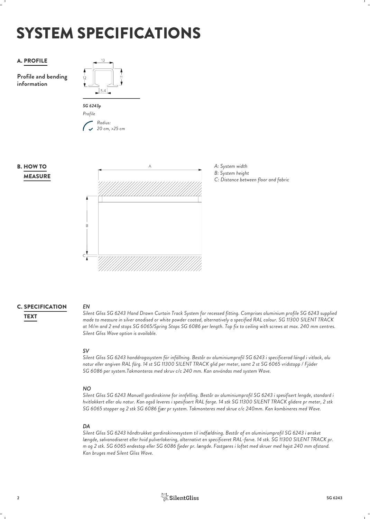# SYSTEM SPECIFICATIONS



**Profile and bending information**











#### **C. SPECIFICATION** EN

*EN Silent Gliss SG 6243 Hand Drawn Curtain Track System for recessed fitting. Comprises aluminium profile SG 6243 supplied made to measure in silver anodised or white powder coated, alternatively a specified RAL colour. SG 11300 SILENT TRACK* TEXT *at 14/m and 2 end stops SG 6065/Spring Stops SG 6086 per length. Top fix to ceiling with screws at max. 240 mm centres. Silent Gliss Wave option is available.*

*SV Silent Gliss SG 6243 handdragssystem för infällning. Består av aluminiumprofil SG 6243 i specificerad längd i vitlack, alu natur eller angiven RAL färg. 14 st SG 11300 SILENT TRACK glid per meter, samt 2 st SG 6065 vridstopp / Fjäder SG 6086 per system.Takmonteras med skruv c/c 240 mm. Kan användas med system Wave.*

#### *NO*

*Silent Gliss SG 6243 Manuell gardinskinne for innfelling. Består av aluminiumprofil SG 6243 i spesifisert lengde, standard i hvitlakkert eller alu natur. Kan også leveres i spesifisert RAL farge. 14 stk SG 11300 SILENT TRACK glidere pr meter, 2 stk SG 6065 stopper og 2 stk SG 6086 fjær pr system. Takmonteres med skrue c/c 240mm. Kan kombineres med Wave.*

*DA Silent Gliss SG 6243 håndtrukket gardinskinnesystem til indfældning. Består af en aluminiumprofil SG 6243 i ønsket længde, sølvanodiseret eller hvid pulverlakering, alternativt en specificeret RAL-farve. 14 stk. SG 11300 SILENT TRACK pr. m og 2 stk. SG 6065 endestop eller SG 6086 fjeder pr. længde. Fastgøres i loftet med skruer med højst 240 mm afstand. Kan bruges med Silent Gliss Wave.*

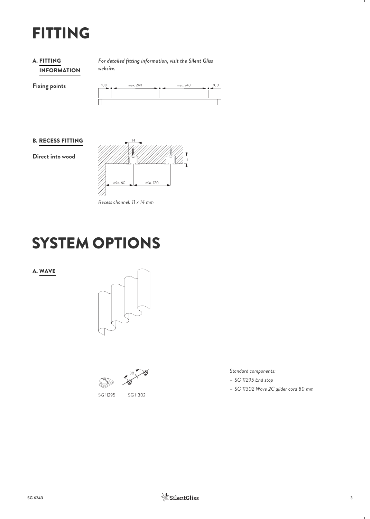## FITTING

#### INFORMATION **A. FITTING**

*For detailed fitting information, visit the Silent Gliss* FITTING *website.*

**Fixing points**

| 100<br>$\longrightarrow \bullet$ | max. 240 | max. 240<br>$\bullet$ | 100 |
|----------------------------------|----------|-----------------------|-----|
|                                  |          |                       |     |
|                                  |          |                       |     |

#### B. RECESS FITTING

**Direct into wood**



*Recess channel: 11 x 14 mm*

## SYSTEM OPTIONS

#### A. WAVE



SG 11302

SG 11295

*Standard components:*

- *– SG 11295 End stop*
- *– SG 11302 Wave 2C glider cord 80 mm*

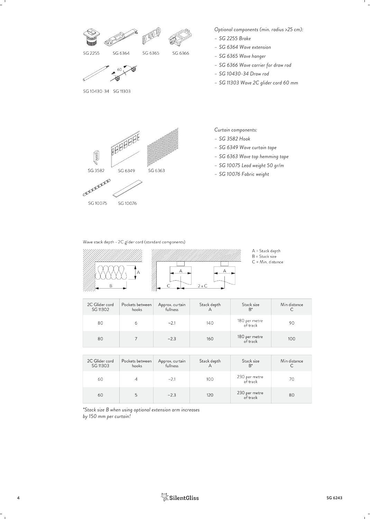

Wave stack depth - 2C glider cord (standard components)

![](_page_3_Figure_2.jpeg)

![](_page_3_Figure_3.jpeg)

```
A = Stack depth
```
 $B =$  Stack size  $C = Min. distance$ 

| 2C Glider cord<br>SG 11302 | Pockets between<br>hooks | Approx. curtain<br>fullness | Stack depth | Stack size<br>$B^*$       | Min distance<br>◡ |
|----------------------------|--------------------------|-----------------------------|-------------|---------------------------|-------------------|
| 80                         | 6                        | ~2.1                        | 140         | 180 per metre<br>of track | 90                |
| 80                         |                          | ~2.3                        | 160         | 180 per metre<br>of track | 100               |

| 2C Glider cord<br>SG 11303 | Pockets between<br>hooks | Approx. curtain<br>fullness | Stack depth | Stack size<br>$B^*$       | Min distance |
|----------------------------|--------------------------|-----------------------------|-------------|---------------------------|--------------|
| 60                         |                          | ~2.1                        | 100         | 230 per metre<br>of track | 70           |
| 60                         |                          | ~2.3                        | 120         | 230 per metre<br>of track | 80           |

*\*Stack size B when using optional extension arm increases by 150 mm per curtain!*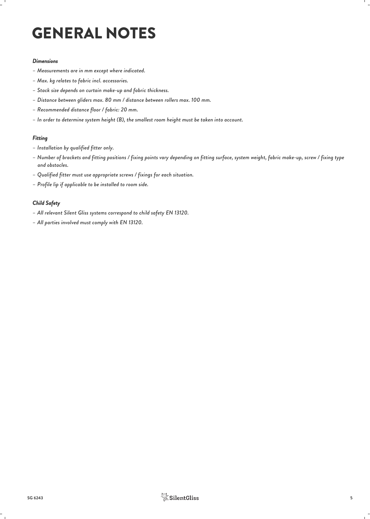# GENERAL NOTES

#### *Dimensions*

- *– Measurements are in mm except where indicated.*
- *– Max. kg relates to fabric incl. accessories.*
- *– Stack size depends on curtain make-up and fabric thickness.*
- *– Distance between gliders max. 80 mm / distance between rollers max. 100 mm.*
- *– Recommended distance floor / fabric: 20 mm.*
- *– In order to determine system height (B), the smallest room height must be taken into account.*

#### *Fitting*

- *– Installation by qualified fitter only.*
- *– Number of brackets and fitting positions / fixing points vary depending on fitting surface, system weight, fabric make-up, screw / fixing type and obstacles.*
- *– Qualified fitter must use appropriate screws / fixings for each situation.*
- *– Profile lip if applicable to be installed to room side.*

#### *Child Safety*

- *– All relevant Silent Gliss systems correspond to child safety EN 13120.*
- *– All parties involved must comply with EN 13120.*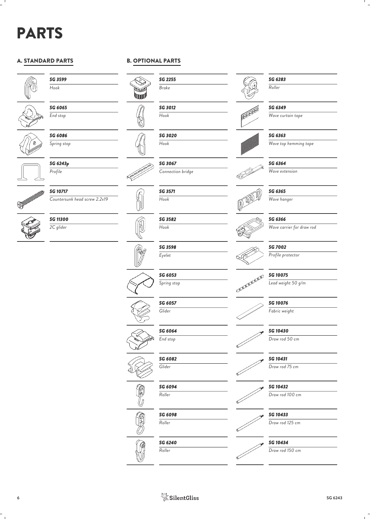# PARTS

#### A. STANDARD PARTS

![](_page_5_Picture_2.jpeg)

*SG 3599 Hook*

![](_page_5_Picture_4.jpeg)

*SG 6065 End stop*

*SG 6086 Spring stop*

*SG 6243p Profile*

**SOUTHERN DESCRIPTION OF THE OWNER.** 

*SG 10717 Countersunk head screw 2.2x19*

![](_page_5_Picture_10.jpeg)

![](_page_5_Picture_11.jpeg)

#### B. OPTIONAL PARTS

![](_page_5_Picture_13.jpeg)

*SG 3012 Hook*

*SG 3020 Hook*

*SG 3067 Connection bridge*

![](_page_5_Picture_17.jpeg)

 $\mathcal{L}^{\mathcal{C}}$ 

*SG 3571 Hook*

*SG 3582 Hook*

![](_page_5_Picture_20.jpeg)

![](_page_5_Picture_21.jpeg)

![](_page_5_Picture_23.jpeg)

![](_page_5_Picture_24.jpeg)

![](_page_5_Picture_25.jpeg)

![](_page_5_Picture_26.jpeg)

![](_page_5_Picture_27.jpeg)

![](_page_5_Picture_28.jpeg)

*SG 6349 Wave curtain tape*

![](_page_5_Picture_30.jpeg)

*SG 6363*

*SG 6283 Roller*

*Wave top hemming tape*

## *SG 6364*

![](_page_5_Picture_34.jpeg)

![](_page_5_Picture_35.jpeg)

*SG 6365 Wave hanger*

#### *SG 6366*

*Wave carrier for draw rod*

#### *SG 7002*

*Profile protector*

![](_page_5_Picture_41.jpeg)

*SG 10075 Lead weight 50 g/m*

*SG 10076 Fabric weight*

*SG 10430 Draw rod 50 cm*

![](_page_5_Picture_46.jpeg)

*Draw rod 75 cm*

*SG 10432 Draw rod 100 cm*

*SG 10433*

![](_page_5_Picture_49.jpeg)

![](_page_5_Picture_50.jpeg)

![](_page_5_Picture_51.jpeg)

*Draw rod 150 cm*

![](_page_5_Picture_53.jpeg)

![](_page_5_Picture_56.jpeg)

*Eyelet*

*SG 6057*

![](_page_5_Picture_61.jpeg)

*End stop*

*SG 6082 Glider*

*SG 6094 Roller*

*Roller*

*Spring stop*

![](_page_5_Picture_71.jpeg)

*SG 3598*

![](_page_5_Picture_81.jpeg)

![](_page_5_Picture_82.jpeg)

![](_page_5_Picture_83.jpeg)

*SG 6098*

*SG 6240*

*Roller*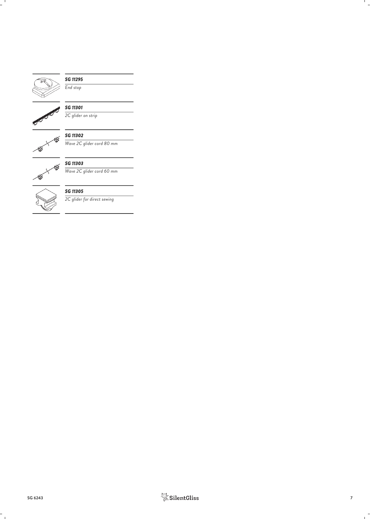![](_page_6_Picture_0.jpeg)

#### *SG 11295*

*End stop*

![](_page_6_Picture_3.jpeg)

## *SG 11301*

*2C glider on strip*

![](_page_6_Picture_6.jpeg)

*SG 11302 Wave 2C glider cord 80 mm*

![](_page_6_Picture_9.jpeg)

#### *SG 11303*

*Wave 2C glider cord 60 mm*

![](_page_6_Picture_12.jpeg)

### *SG 11305*

*2C glider for direct sewing*

![](_page_6_Picture_16.jpeg)